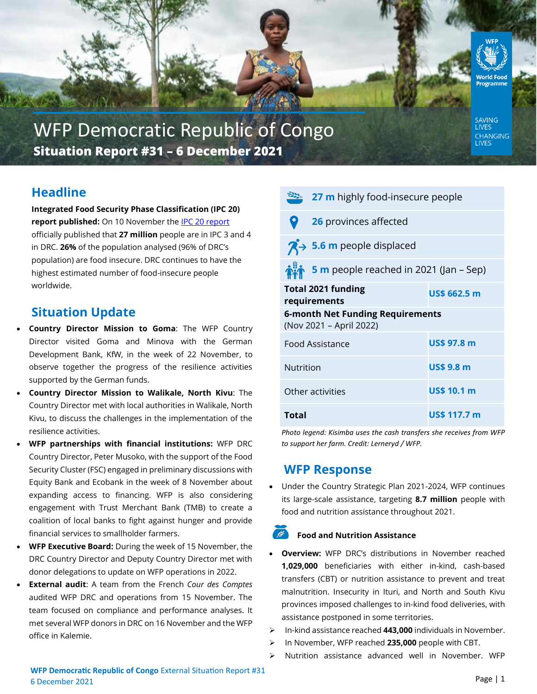

# WFP Democratic Republic of Congo **Situation Report #31 – 6 December 2021**

**SAVING LIVES** CHANGING **LIVES** 

# **Headline**

**Integrated Food Security Phase Classification (IPC 20) report published:** On 10 November th[e IPC 20 report](http://www.ipcinfo.org/ipc-country-analysis/details-map/en/c/1155280/?iso3=COD) officially published that **27 million** people are in IPC 3 and 4 in DRC. **26%** of the population analysed (96% of DRC's population) are food insecure. DRC continues to have the highest estimated number of food-insecure people worldwide.

# **Situation Update**

- **Country Director Mission to Goma**: The WFP Country Director visited Goma and Minova with the German Development Bank, KfW, in the week of 22 November, to observe together the progress of the resilience activities supported by the German funds.
- **Country Director Mission to Walikale, North Kivu**: The Country Director met with local authorities in Walikale, North Kivu, to discuss the challenges in the implementation of the resilience activities.
- **WFP partnerships with financial institutions:** WFP DRC Country Director, Peter Musoko, with the support of the Food Security Cluster (FSC) engaged in preliminary discussions with Equity Bank and Ecobank in the week of 8 November about expanding access to financing. WFP is also considering engagement with Trust Merchant Bank (TMB) to create a coalition of local banks to fight against hunger and provide financial services to smallholder farmers.
- **WFP Executive Board:** During the week of 15 November, the DRC Country Director and Deputy Country Director met with donor delegations to update on WFP operations in 2022.
- **External audit**: A team from the French *Cour des Comptes* audited WFP DRC and operations from 15 November. The team focused on compliance and performance analyses. It met several WFP donors in DRC on 16 November and the WFP office in Kalemie.

|                                                                    | 27 m highly food-insecure people        |                     |
|--------------------------------------------------------------------|-----------------------------------------|---------------------|
|                                                                    | 26 provinces affected                   |                     |
|                                                                    | $\overline{A}$ > 5.6 m people displaced |                     |
|                                                                    | 5 m people reached in 2021 (Jan - Sep)  |                     |
| <b>Total 2021 funding</b><br>requirements                          |                                         | <b>US\$ 662.5 m</b> |
| <b>6-month Net Funding Requirements</b><br>(Nov 2021 - April 2022) |                                         |                     |
| Food Assistance                                                    |                                         | US\$ 97.8 m         |
| Nutrition                                                          |                                         | <b>US\$ 9.8 m</b>   |
| Other activities                                                   |                                         | <b>US\$ 10.1 m</b>  |
| Total                                                              |                                         | <b>US\$ 117.7 m</b> |

*Photo legend: Kisimba uses the cash transfers she receives from WFP to support her farm. Credit: Lerneryd / WFP.*

# **WFP Response**

• Under the Country Strategic Plan 2021-2024, WFP continues its large-scale assistance, targeting **8.7 million** people with food and nutrition assistance throughout 2021.

#### **Food and Nutrition Assistance**

- **Overview:** WFP DRC's distributions in November reached **1,029,000** beneficiaries with either in-kind, cash-based transfers (CBT) or nutrition assistance to prevent and treat malnutrition. Insecurity in Ituri, and North and South Kivu provinces imposed challenges to in-kind food deliveries, with assistance postponed in some territories.
- ➢ In-kind assistance reached **443,000** individuals in November.
- ➢ In November, WFP reached **235,000** people with CBT.
- ➢ Nutrition assistance advanced well in November. WFP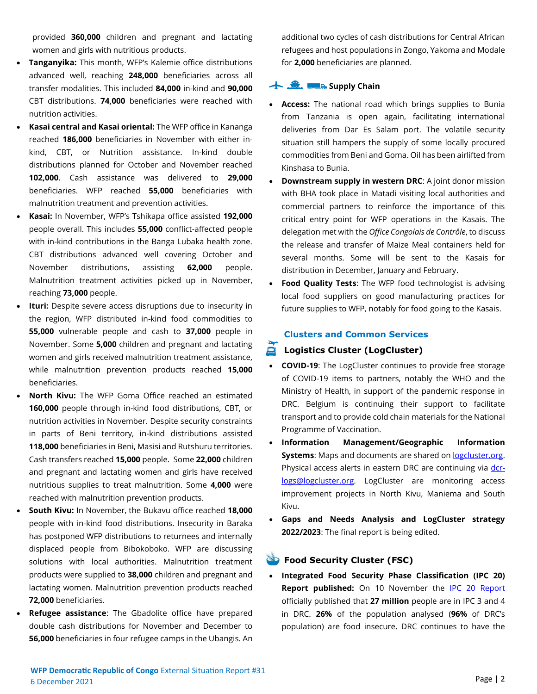provided **360,000** children and pregnant and lactating women and girls with nutritious products.

- **Tanganyika:** This month, WFP's Kalemie office distributions advanced well, reaching **248,000** beneficiaries across all transfer modalities. This included **84,000** in-kind and **90,000** CBT distributions. **74,000** beneficiaries were reached with nutrition activities.
- **Kasai central and Kasai oriental:** The WFP office in Kananga reached **186,000** beneficiaries in November with either inkind, CBT, or Nutrition assistance. In-kind double distributions planned for October and November reached **102,000**. Cash assistance was delivered to **29,000** beneficiaries. WFP reached **55,000** beneficiaries with malnutrition treatment and prevention activities.
- **Kasai:** In November, WFP's Tshikapa office assisted **192,000**  people overall. This includes **55,000** conflict-affected people with in-kind contributions in the Banga Lubaka health zone. CBT distributions advanced well covering October and November distributions, assisting **62,000** people. Malnutrition treatment activities picked up in November, reaching **73,000** people.
- **Ituri:** Despite severe access disruptions due to insecurity in the region, WFP distributed in-kind food commodities to **55,000** vulnerable people and cash to **37,000** people in November. Some **5,000** children and pregnant and lactating women and girls received malnutrition treatment assistance, while malnutrition prevention products reached **15,000**  beneficiaries.
- **North Kivu:** The WFP Goma Office reached an estimated **160,000** people through in-kind food distributions, CBT, or nutrition activities in November. Despite security constraints in parts of Beni territory, in-kind distributions assisted **118,000** beneficiaries in Beni, Masisi and Rutshuru territories. Cash transfers reached **15,000** people. Some **22,000** children and pregnant and lactating women and girls have received nutritious supplies to treat malnutrition. Some **4,000** were reached with malnutrition prevention products.
- **South Kivu:** In November, the Bukavu office reached **18,000**  people with in-kind food distributions. Insecurity in Baraka has postponed WFP distributions to returnees and internally displaced people from Bibokoboko. WFP are discussing solutions with local authorities. Malnutrition treatment products were supplied to **38,000** children and pregnant and lactating women. Malnutrition prevention products reached **72,000** beneficiaries.
- **Refugee assistance**: The Gbadolite office have prepared double cash distributions for November and December to **56,000** beneficiaries in four refugee camps in the Ubangis. An

additional two cycles of cash distributions for Central African refugees and host populations in Zongo, Yakoma and Modale for **2,000** beneficiaries are planned.

#### **Supply Chain**

- **Access:** The national road which brings supplies to Bunia from Tanzania is open again, facilitating international deliveries from Dar Es Salam port. The volatile security situation still hampers the supply of some locally procured commodities from Beni and Goma. Oil has been airlifted from Kinshasa to Bunia.
- **Downstream supply in western DRC**: A joint donor mission with BHA took place in Matadi visiting local authorities and commercial partners to reinforce the importance of this critical entry point for WFP operations in the Kasais. The delegation met with the *Office Congolais de Contrôle*, to discuss the release and transfer of Maize Meal containers held for several months. Some will be sent to the Kasais for distribution in December, January and February.
- **Food Quality Tests**: The WFP food technologist is advising local food suppliers on good manufacturing practices for future supplies to WFP, notably for food going to the Kasais.

#### **Clusters and Common Services**

#### **Logistics Cluster (LogCluster)**

- **COVID-19**: The LogCluster continues to provide free storage of COVID-19 items to partners, notably the WHO and the Ministry of Health, in support of the pandemic response in DRC. Belgium is continuing their support to facilitate transport and to provide cold chain materials for the National Programme of Vaccination.
- **Information Management/Geographic Information Systems**: Maps and documents are shared on [logcluster.org.](https://logcluster.org/ops/drc) Physical access alerts in eastern DRC are continuing via [dcr](mailto:dcr-logs@logcluster.org)[logs@logcluster.org.](mailto:dcr-logs@logcluster.org) LogCluster are monitoring access improvement projects in North Kivu, Maniema and South Kivu.
- **Gaps and Needs Analysis and LogCluster strategy 2022/2023**: The final report is being edited.

#### **Food Security Cluster (FSC)**

• **Integrated Food Security Phase Classification (IPC 20)**  Report published: On 10 November the **[IPC 20 Report](http://www.ipcinfo.org/ipc-country-analysis/details-map/en/c/1155280/?iso3=COD)** officially published that **27 million** people are in IPC 3 and 4 in DRC. **26%** of the population analysed (**96%** of DRC's population) are food insecure. DRC continues to have the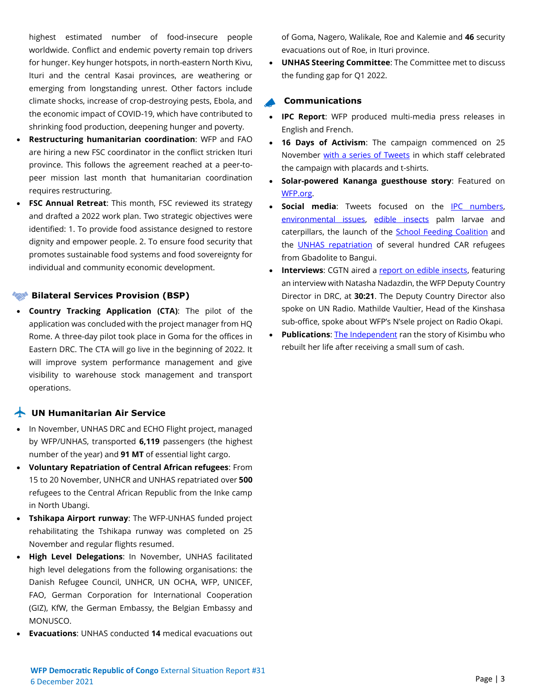highest estimated number of food-insecure people worldwide. Conflict and endemic poverty remain top drivers for hunger. Key hunger hotspots, in north-eastern North Kivu, Ituri and the central Kasai provinces, are weathering or emerging from longstanding unrest. Other factors include climate shocks, increase of crop-destroying pests, Ebola, and the economic impact of COVID-19, which have contributed to shrinking food production, deepening hunger and poverty.

- **Restructuring humanitarian coordination**: WFP and FAO are hiring a new FSC coordinator in the conflict stricken Ituri province. This follows the agreement reached at a peer-topeer mission last month that humanitarian coordination requires restructuring.
- **FSC Annual Retreat:** This month, FSC reviewed its strategy and drafted a 2022 work plan. Two strategic objectives were identified: 1. To provide food assistance designed to restore dignity and empower people. 2. To ensure food security that promotes sustainable food systems and food sovereignty for individual and community economic development.

#### **Bilateral Services Provision (BSP)**

• **Country Tracking Application (CTA)**: The pilot of the application was concluded with the project manager from HQ Rome. A three-day pilot took place in Goma for the offices in Eastern DRC. The CTA will go live in the beginning of 2022. It will improve system performance management and give visibility to warehouse stock management and transport operations.

#### **The UN Humanitarian Air Service**

- In November, UNHAS DRC and ECHO Flight project, managed by WFP/UNHAS, transported **6,119** passengers (the highest number of the year) and **91 MT** of essential light cargo.
- **Voluntary Repatriation of Central African refugees**: From 15 to 20 November, UNHCR and UNHAS repatriated over **500** refugees to the Central African Republic from the Inke camp in North Ubangi.
- **Tshikapa Airport runway**: The WFP-UNHAS funded project rehabilitating the Tshikapa runway was completed on 25 November and regular flights resumed.
- **High Level Delegations**: In November, UNHAS facilitated high level delegations from the following organisations: the Danish Refugee Council, UNHCR, UN OCHA, WFP, UNICEF, FAO, German Corporation for International Cooperation (GIZ), KfW, the German Embassy, the Belgian Embassy and MONUSCO.
- **Evacuations**: UNHAS conducted **14** medical evacuations out

of Goma, Nagero, Walikale, Roe and Kalemie and **46** security evacuations out of Roe, in Ituri province.

• **UNHAS Steering Committee**: The Committee met to discuss the funding gap for Q1 2022.

#### **Communications**

- **IPC Report**: WFP produced multi-media press releases in English and French.
- **16 Days of Activism**: The campaign commenced on 25 November [with a series of Tweets](https://twitter.com/WFPDRC/status/1463775454725296130?s=20) in which staff celebrated the campaign with placards and t-shirts.
- **Solar-powered Kananga guesthouse story**: Featured on [WFP.org.](https://www.wfp.org/stories/dr-congo-green-energy-powers-guesthouse-humanitarians-responding-hunger-crisis)
- **Social media**: Tweets focused on the IPC [numbers,](https://twitter.com/WFPDRC/status/1458400127375323139) [environmental issues,](https://twitter.com/WFPDRC/status/1455835113309233157) [edible insects](https://twitter.com/WFPDRC/status/1457094210142736386) palm larvae and caterpillars, the launch of the [School Feeding Coalition](https://twitter.com/WFPDRC/status/1461057987385204738) and the [UNHAS repatriation](https://twitter.com/WFPDRC/status/1462514763091611660?s=20) of several hundred CAR refugees from Gbadolite to Bangui.
- **Interviews**: CGTN aired a [report on edible insects,](https://www.youtube.com/watch?v=wNpWWW4DK1A) featuring an interview with Natasha Nadazdin, the WFP Deputy Country Director in DRC, at **30:21**. The Deputy Country Director also spoke on UN Radio. Mathilde Vaultier, Head of the Kinshasa sub-office, spoke about WFP's N'sele project on Radio Okapi.
- **Publications:** The Independent ran the story of Kisimbu who rebuilt her life after receiving a small sum of cash.